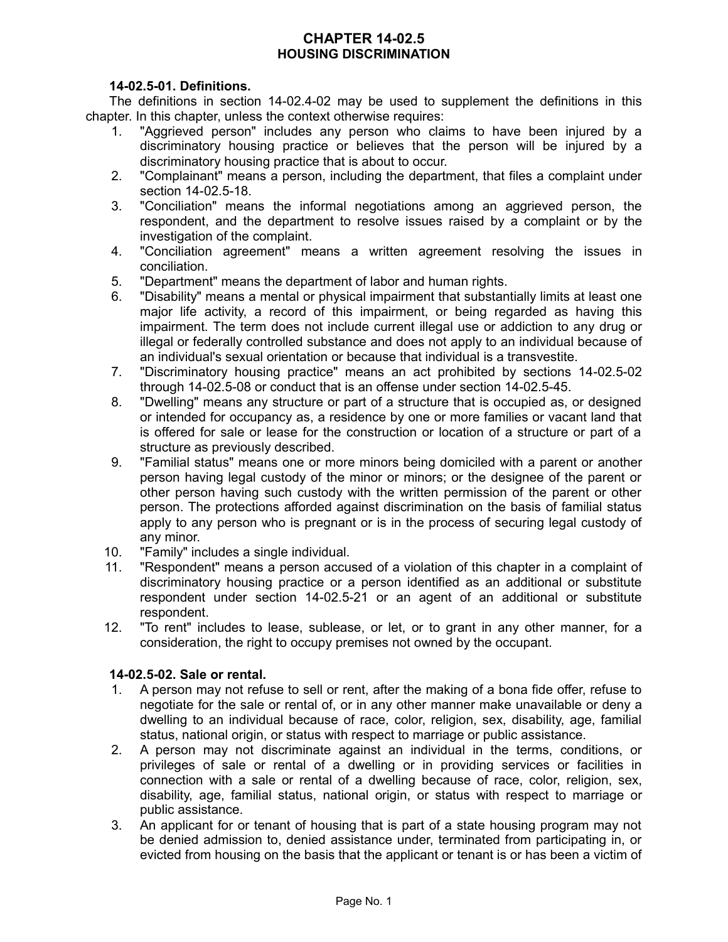# **CHAPTER 14-02.5 HOUSING DISCRIMINATION**

## **14-02.5-01. Definitions.**

The definitions in section 14-02.4-02 may be used to supplement the definitions in this chapter. In this chapter, unless the context otherwise requires:

- 1. "Aggrieved person" includes any person who claims to have been injured by a discriminatory housing practice or believes that the person will be injured by a discriminatory housing practice that is about to occur.
- 2. "Complainant" means a person, including the department, that files a complaint under section 14-02.5-18.
- 3. "Conciliation" means the informal negotiations among an aggrieved person, the respondent, and the department to resolve issues raised by a complaint or by the investigation of the complaint.
- 4. "Conciliation agreement" means a written agreement resolving the issues in conciliation.
- 5. "Department" means the department of labor and human rights.
- 6. "Disability" means a mental or physical impairment that substantially limits at least one major life activity, a record of this impairment, or being regarded as having this impairment. The term does not include current illegal use or addiction to any drug or illegal or federally controlled substance and does not apply to an individual because of an individual's sexual orientation or because that individual is a transvestite.
- 7. "Discriminatory housing practice" means an act prohibited by sections 14-02.5-02 through 14-02.5-08 or conduct that is an offense under section 14-02.5-45.
- 8. "Dwelling" means any structure or part of a structure that is occupied as, or designed or intended for occupancy as, a residence by one or more families or vacant land that is offered for sale or lease for the construction or location of a structure or part of a structure as previously described.
- 9. "Familial status" means one or more minors being domiciled with a parent or another person having legal custody of the minor or minors; or the designee of the parent or other person having such custody with the written permission of the parent or other person. The protections afforded against discrimination on the basis of familial status apply to any person who is pregnant or is in the process of securing legal custody of any minor.
- 10. "Family" includes a single individual.
- 11. "Respondent" means a person accused of a violation of this chapter in a complaint of discriminatory housing practice or a person identified as an additional or substitute respondent under section 14-02.5-21 or an agent of an additional or substitute respondent.
- 12. "To rent" includes to lease, sublease, or let, or to grant in any other manner, for a consideration, the right to occupy premises not owned by the occupant.

# **14-02.5-02. Sale or rental.**

- 1. A person may not refuse to sell or rent, after the making of a bona fide offer, refuse to negotiate for the sale or rental of, or in any other manner make unavailable or deny a dwelling to an individual because of race, color, religion, sex, disability, age, familial status, national origin, or status with respect to marriage or public assistance.
- 2. A person may not discriminate against an individual in the terms, conditions, or privileges of sale or rental of a dwelling or in providing services or facilities in connection with a sale or rental of a dwelling because of race, color, religion, sex, disability, age, familial status, national origin, or status with respect to marriage or public assistance.
- 3. An applicant for or tenant of housing that is part of a state housing program may not be denied admission to, denied assistance under, terminated from participating in, or evicted from housing on the basis that the applicant or tenant is or has been a victim of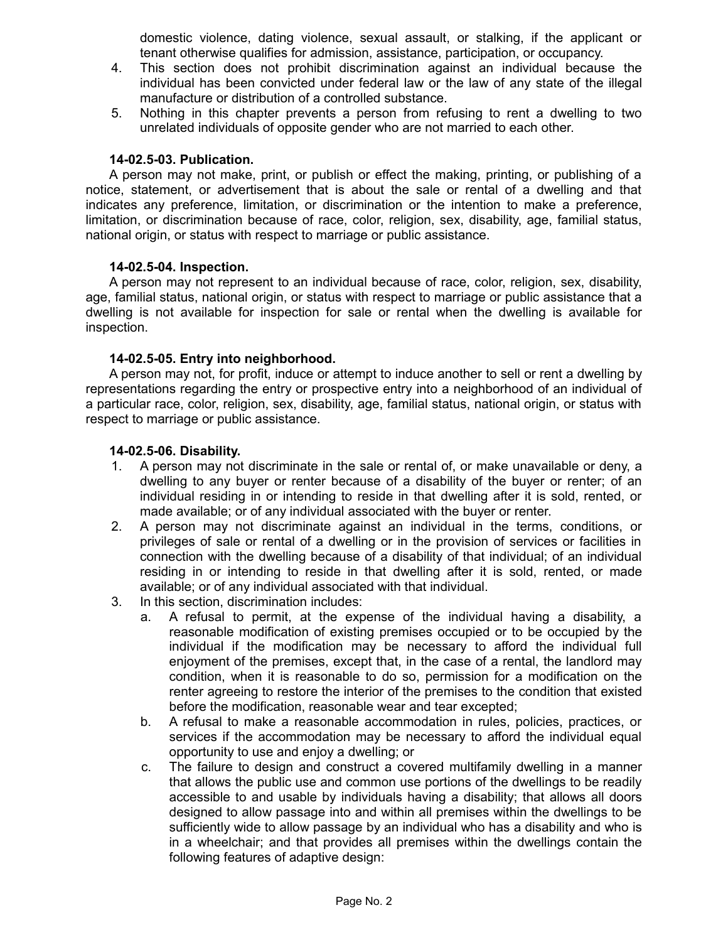domestic violence, dating violence, sexual assault, or stalking, if the applicant or tenant otherwise qualifies for admission, assistance, participation, or occupancy.

- 4. This section does not prohibit discrimination against an individual because the individual has been convicted under federal law or the law of any state of the illegal manufacture or distribution of a controlled substance.
- 5. Nothing in this chapter prevents a person from refusing to rent a dwelling to two unrelated individuals of opposite gender who are not married to each other.

#### **14-02.5-03. Publication.**

A person may not make, print, or publish or effect the making, printing, or publishing of a notice, statement, or advertisement that is about the sale or rental of a dwelling and that indicates any preference, limitation, or discrimination or the intention to make a preference, limitation, or discrimination because of race, color, religion, sex, disability, age, familial status, national origin, or status with respect to marriage or public assistance.

## **14-02.5-04. Inspection.**

A person may not represent to an individual because of race, color, religion, sex, disability, age, familial status, national origin, or status with respect to marriage or public assistance that a dwelling is not available for inspection for sale or rental when the dwelling is available for inspection.

## **14-02.5-05. Entry into neighborhood.**

A person may not, for profit, induce or attempt to induce another to sell or rent a dwelling by representations regarding the entry or prospective entry into a neighborhood of an individual of a particular race, color, religion, sex, disability, age, familial status, national origin, or status with respect to marriage or public assistance.

## **14-02.5-06. Disability.**

- 1. A person may not discriminate in the sale or rental of, or make unavailable or deny, a dwelling to any buyer or renter because of a disability of the buyer or renter; of an individual residing in or intending to reside in that dwelling after it is sold, rented, or made available; or of any individual associated with the buyer or renter.
- 2. A person may not discriminate against an individual in the terms, conditions, or privileges of sale or rental of a dwelling or in the provision of services or facilities in connection with the dwelling because of a disability of that individual; of an individual residing in or intending to reside in that dwelling after it is sold, rented, or made available; or of any individual associated with that individual.
- 3. In this section, discrimination includes:
	- a. A refusal to permit, at the expense of the individual having a disability, a reasonable modification of existing premises occupied or to be occupied by the individual if the modification may be necessary to afford the individual full enjoyment of the premises, except that, in the case of a rental, the landlord may condition, when it is reasonable to do so, permission for a modification on the renter agreeing to restore the interior of the premises to the condition that existed before the modification, reasonable wear and tear excepted;
	- b. A refusal to make a reasonable accommodation in rules, policies, practices, or services if the accommodation may be necessary to afford the individual equal opportunity to use and enjoy a dwelling; or
	- c. The failure to design and construct a covered multifamily dwelling in a manner that allows the public use and common use portions of the dwellings to be readily accessible to and usable by individuals having a disability; that allows all doors designed to allow passage into and within all premises within the dwellings to be sufficiently wide to allow passage by an individual who has a disability and who is in a wheelchair; and that provides all premises within the dwellings contain the following features of adaptive design: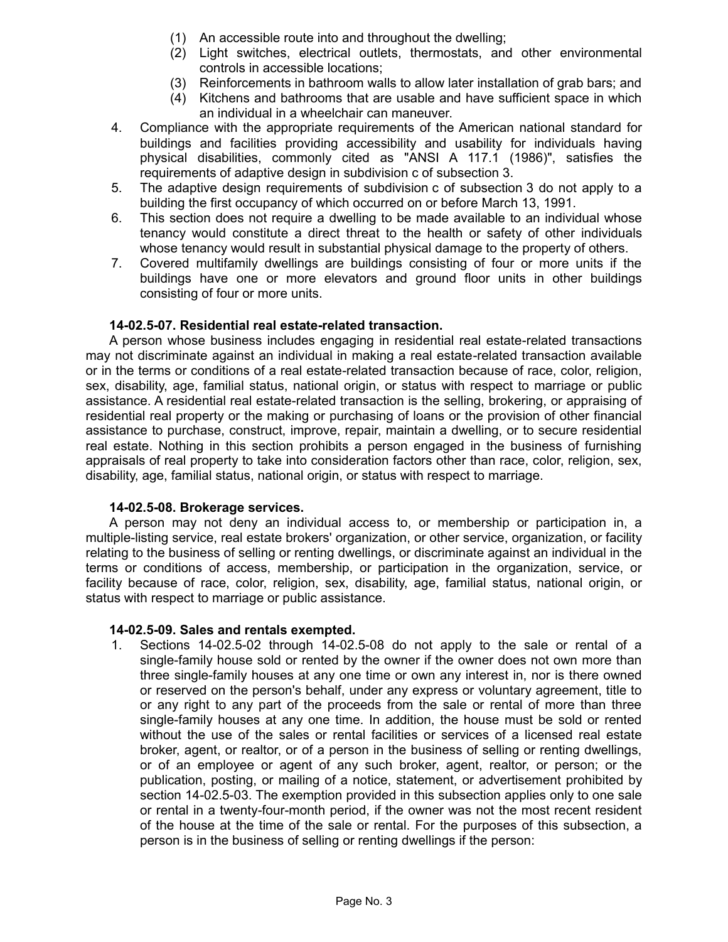- (1) An accessible route into and throughout the dwelling;
- (2) Light switches, electrical outlets, thermostats, and other environmental controls in accessible locations;
- (3) Reinforcements in bathroom walls to allow later installation of grab bars; and
- (4) Kitchens and bathrooms that are usable and have sufficient space in which an individual in a wheelchair can maneuver.
- 4. Compliance with the appropriate requirements of the American national standard for buildings and facilities providing accessibility and usability for individuals having physical disabilities, commonly cited as "ANSI A 117.1 (1986)", satisfies the requirements of adaptive design in subdivision c of subsection 3.
- 5. The adaptive design requirements of subdivision c of subsection 3 do not apply to a building the first occupancy of which occurred on or before March 13, 1991.
- 6. This section does not require a dwelling to be made available to an individual whose tenancy would constitute a direct threat to the health or safety of other individuals whose tenancy would result in substantial physical damage to the property of others.
- 7. Covered multifamily dwellings are buildings consisting of four or more units if the buildings have one or more elevators and ground floor units in other buildings consisting of four or more units.

## **14-02.5-07. Residential real estate-related transaction.**

A person whose business includes engaging in residential real estate-related transactions may not discriminate against an individual in making a real estate-related transaction available or in the terms or conditions of a real estate-related transaction because of race, color, religion, sex, disability, age, familial status, national origin, or status with respect to marriage or public assistance. A residential real estate-related transaction is the selling, brokering, or appraising of residential real property or the making or purchasing of loans or the provision of other financial assistance to purchase, construct, improve, repair, maintain a dwelling, or to secure residential real estate. Nothing in this section prohibits a person engaged in the business of furnishing appraisals of real property to take into consideration factors other than race, color, religion, sex, disability, age, familial status, national origin, or status with respect to marriage.

#### **14-02.5-08. Brokerage services.**

A person may not deny an individual access to, or membership or participation in, a multiple-listing service, real estate brokers' organization, or other service, organization, or facility relating to the business of selling or renting dwellings, or discriminate against an individual in the terms or conditions of access, membership, or participation in the organization, service, or facility because of race, color, religion, sex, disability, age, familial status, national origin, or status with respect to marriage or public assistance.

#### **14-02.5-09. Sales and rentals exempted.**

1. Sections 14-02.5-02 through 14-02.5-08 do not apply to the sale or rental of a single-family house sold or rented by the owner if the owner does not own more than three single-family houses at any one time or own any interest in, nor is there owned or reserved on the person's behalf, under any express or voluntary agreement, title to or any right to any part of the proceeds from the sale or rental of more than three single-family houses at any one time. In addition, the house must be sold or rented without the use of the sales or rental facilities or services of a licensed real estate broker, agent, or realtor, or of a person in the business of selling or renting dwellings, or of an employee or agent of any such broker, agent, realtor, or person; or the publication, posting, or mailing of a notice, statement, or advertisement prohibited by section 14-02.5-03. The exemption provided in this subsection applies only to one sale or rental in a twenty-four-month period, if the owner was not the most recent resident of the house at the time of the sale or rental. For the purposes of this subsection, a person is in the business of selling or renting dwellings if the person: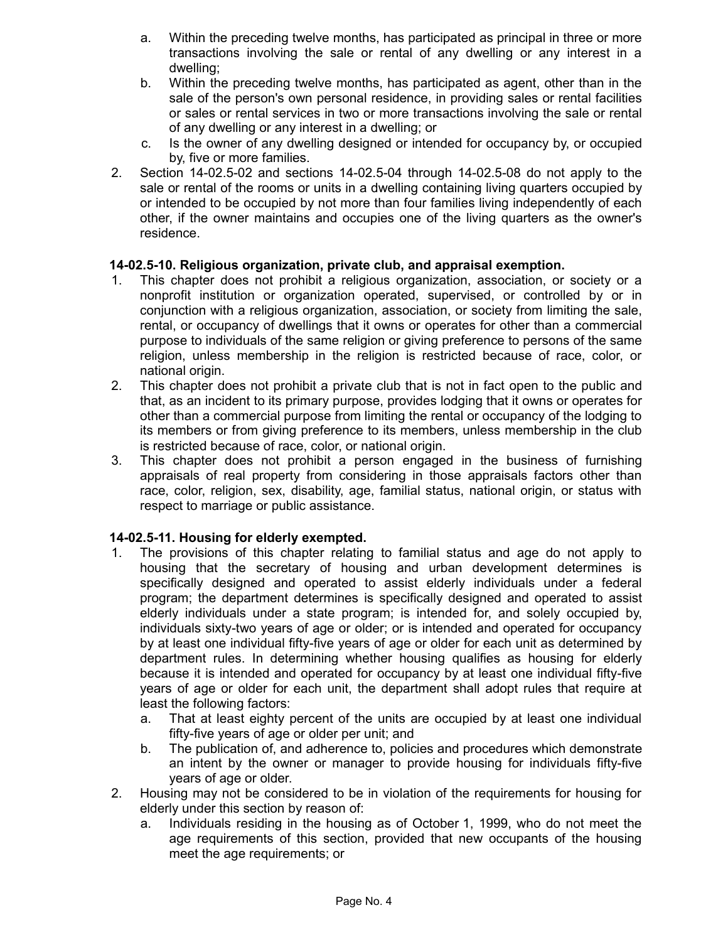- a. Within the preceding twelve months, has participated as principal in three or more transactions involving the sale or rental of any dwelling or any interest in a dwelling;
- b. Within the preceding twelve months, has participated as agent, other than in the sale of the person's own personal residence, in providing sales or rental facilities or sales or rental services in two or more transactions involving the sale or rental of any dwelling or any interest in a dwelling; or
- c. Is the owner of any dwelling designed or intended for occupancy by, or occupied by, five or more families.
- 2. Section 14-02.5-02 and sections 14-02.5-04 through 14-02.5-08 do not apply to the sale or rental of the rooms or units in a dwelling containing living quarters occupied by or intended to be occupied by not more than four families living independently of each other, if the owner maintains and occupies one of the living quarters as the owner's residence.

# **14-02.5-10. Religious organization, private club, and appraisal exemption.**

- 1. This chapter does not prohibit a religious organization, association, or society or a nonprofit institution or organization operated, supervised, or controlled by or in conjunction with a religious organization, association, or society from limiting the sale, rental, or occupancy of dwellings that it owns or operates for other than a commercial purpose to individuals of the same religion or giving preference to persons of the same religion, unless membership in the religion is restricted because of race, color, or national origin.
- 2. This chapter does not prohibit a private club that is not in fact open to the public and that, as an incident to its primary purpose, provides lodging that it owns or operates for other than a commercial purpose from limiting the rental or occupancy of the lodging to its members or from giving preference to its members, unless membership in the club is restricted because of race, color, or national origin.
- 3. This chapter does not prohibit a person engaged in the business of furnishing appraisals of real property from considering in those appraisals factors other than race, color, religion, sex, disability, age, familial status, national origin, or status with respect to marriage or public assistance.

# **14-02.5-11. Housing for elderly exempted.**

- 1. The provisions of this chapter relating to familial status and age do not apply to housing that the secretary of housing and urban development determines is specifically designed and operated to assist elderly individuals under a federal program; the department determines is specifically designed and operated to assist elderly individuals under a state program; is intended for, and solely occupied by, individuals sixty-two years of age or older; or is intended and operated for occupancy by at least one individual fifty-five years of age or older for each unit as determined by department rules. In determining whether housing qualifies as housing for elderly because it is intended and operated for occupancy by at least one individual fifty-five years of age or older for each unit, the department shall adopt rules that require at least the following factors:
	- a. That at least eighty percent of the units are occupied by at least one individual fifty-five years of age or older per unit; and
	- b. The publication of, and adherence to, policies and procedures which demonstrate an intent by the owner or manager to provide housing for individuals fifty-five years of age or older.
- 2. Housing may not be considered to be in violation of the requirements for housing for elderly under this section by reason of:
	- a. Individuals residing in the housing as of October 1, 1999, who do not meet the age requirements of this section, provided that new occupants of the housing meet the age requirements; or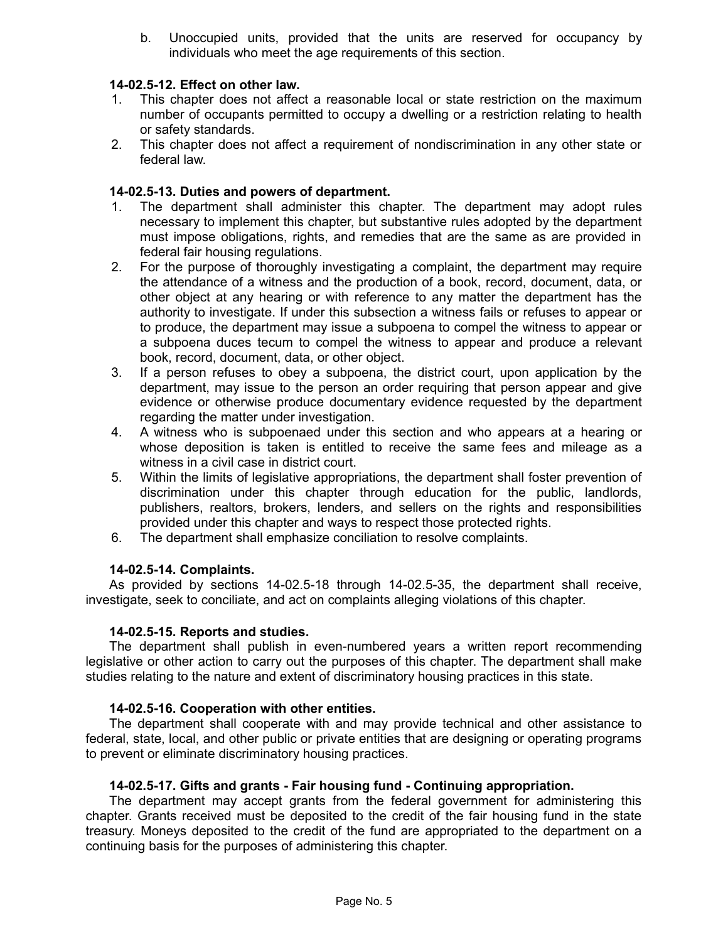b. Unoccupied units, provided that the units are reserved for occupancy by individuals who meet the age requirements of this section.

## **14-02.5-12. Effect on other law.**

- 1. This chapter does not affect a reasonable local or state restriction on the maximum number of occupants permitted to occupy a dwelling or a restriction relating to health or safety standards.
- 2. This chapter does not affect a requirement of nondiscrimination in any other state or federal law.

## **14-02.5-13. Duties and powers of department.**

- 1. The department shall administer this chapter. The department may adopt rules necessary to implement this chapter, but substantive rules adopted by the department must impose obligations, rights, and remedies that are the same as are provided in federal fair housing regulations.
- 2. For the purpose of thoroughly investigating a complaint, the department may require the attendance of a witness and the production of a book, record, document, data, or other object at any hearing or with reference to any matter the department has the authority to investigate. If under this subsection a witness fails or refuses to appear or to produce, the department may issue a subpoena to compel the witness to appear or a subpoena duces tecum to compel the witness to appear and produce a relevant book, record, document, data, or other object.
- 3. If a person refuses to obey a subpoena, the district court, upon application by the department, may issue to the person an order requiring that person appear and give evidence or otherwise produce documentary evidence requested by the department regarding the matter under investigation.
- 4. A witness who is subpoenaed under this section and who appears at a hearing or whose deposition is taken is entitled to receive the same fees and mileage as a witness in a civil case in district court.
- 5. Within the limits of legislative appropriations, the department shall foster prevention of discrimination under this chapter through education for the public, landlords, publishers, realtors, brokers, lenders, and sellers on the rights and responsibilities provided under this chapter and ways to respect those protected rights.
- 6. The department shall emphasize conciliation to resolve complaints.

#### **14-02.5-14. Complaints.**

As provided by sections 14-02.5-18 through 14-02.5-35, the department shall receive, investigate, seek to conciliate, and act on complaints alleging violations of this chapter.

#### **14-02.5-15. Reports and studies.**

The department shall publish in even-numbered years a written report recommending legislative or other action to carry out the purposes of this chapter. The department shall make studies relating to the nature and extent of discriminatory housing practices in this state.

#### **14-02.5-16. Cooperation with other entities.**

The department shall cooperate with and may provide technical and other assistance to federal, state, local, and other public or private entities that are designing or operating programs to prevent or eliminate discriminatory housing practices.

#### **14-02.5-17. Gifts and grants - Fair housing fund - Continuing appropriation.**

The department may accept grants from the federal government for administering this chapter. Grants received must be deposited to the credit of the fair housing fund in the state treasury. Moneys deposited to the credit of the fund are appropriated to the department on a continuing basis for the purposes of administering this chapter.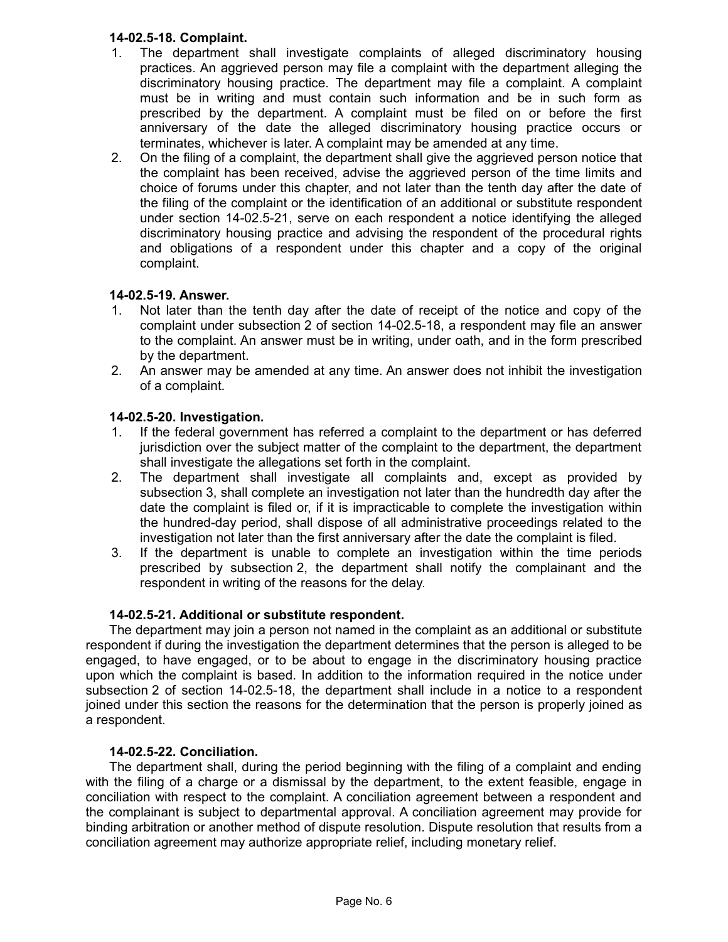# **14-02.5-18. Complaint.**

- 1. The department shall investigate complaints of alleged discriminatory housing practices. An aggrieved person may file a complaint with the department alleging the discriminatory housing practice. The department may file a complaint. A complaint must be in writing and must contain such information and be in such form as prescribed by the department. A complaint must be filed on or before the first anniversary of the date the alleged discriminatory housing practice occurs or terminates, whichever is later. A complaint may be amended at any time.
- 2. On the filing of a complaint, the department shall give the aggrieved person notice that the complaint has been received, advise the aggrieved person of the time limits and choice of forums under this chapter, and not later than the tenth day after the date of the filing of the complaint or the identification of an additional or substitute respondent under section 14-02.5-21, serve on each respondent a notice identifying the alleged discriminatory housing practice and advising the respondent of the procedural rights and obligations of a respondent under this chapter and a copy of the original complaint.

# **14-02.5-19. Answer.**

- 1. Not later than the tenth day after the date of receipt of the notice and copy of the complaint under subsection 2 of section 14-02.5-18, a respondent may file an answer to the complaint. An answer must be in writing, under oath, and in the form prescribed by the department.
- 2. An answer may be amended at any time. An answer does not inhibit the investigation of a complaint.

# **14-02.5-20. Investigation.**

- 1. If the federal government has referred a complaint to the department or has deferred jurisdiction over the subject matter of the complaint to the department, the department shall investigate the allegations set forth in the complaint.
- 2. The department shall investigate all complaints and, except as provided by subsection 3, shall complete an investigation not later than the hundredth day after the date the complaint is filed or, if it is impracticable to complete the investigation within the hundred-day period, shall dispose of all administrative proceedings related to the investigation not later than the first anniversary after the date the complaint is filed.
- 3. If the department is unable to complete an investigation within the time periods prescribed by subsection 2, the department shall notify the complainant and the respondent in writing of the reasons for the delay.

# **14-02.5-21. Additional or substitute respondent.**

The department may join a person not named in the complaint as an additional or substitute respondent if during the investigation the department determines that the person is alleged to be engaged, to have engaged, or to be about to engage in the discriminatory housing practice upon which the complaint is based. In addition to the information required in the notice under subsection 2 of section 14-02.5-18, the department shall include in a notice to a respondent joined under this section the reasons for the determination that the person is properly joined as a respondent.

# **14-02.5-22. Conciliation.**

The department shall, during the period beginning with the filing of a complaint and ending with the filing of a charge or a dismissal by the department, to the extent feasible, engage in conciliation with respect to the complaint. A conciliation agreement between a respondent and the complainant is subject to departmental approval. A conciliation agreement may provide for binding arbitration or another method of dispute resolution. Dispute resolution that results from a conciliation agreement may authorize appropriate relief, including monetary relief.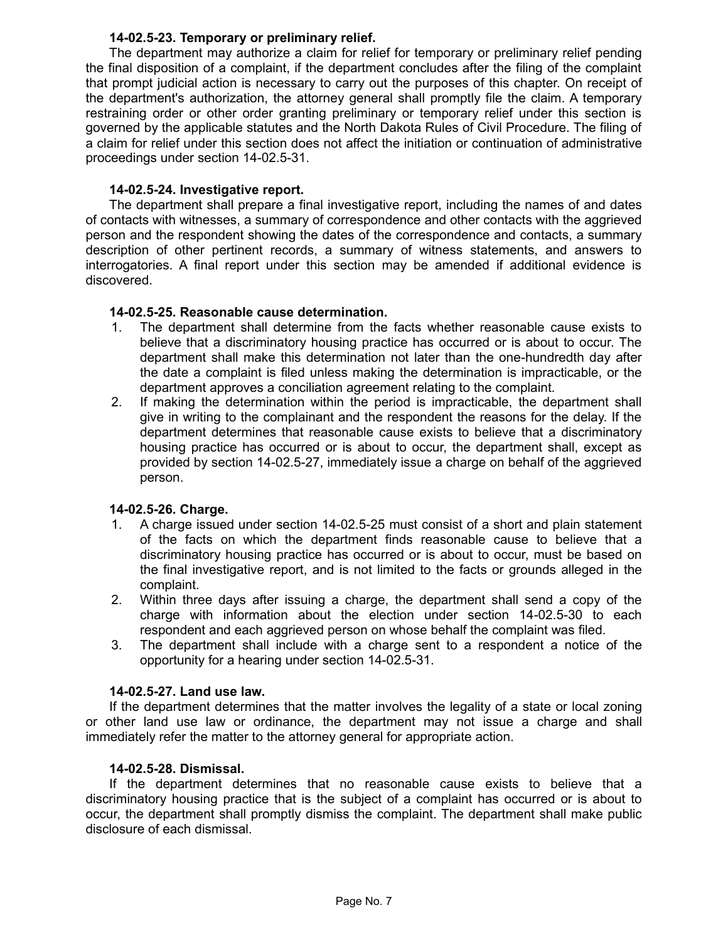## **14-02.5-23. Temporary or preliminary relief.**

The department may authorize a claim for relief for temporary or preliminary relief pending the final disposition of a complaint, if the department concludes after the filing of the complaint that prompt judicial action is necessary to carry out the purposes of this chapter. On receipt of the department's authorization, the attorney general shall promptly file the claim. A temporary restraining order or other order granting preliminary or temporary relief under this section is governed by the applicable statutes and the North Dakota Rules of Civil Procedure. The filing of a claim for relief under this section does not affect the initiation or continuation of administrative proceedings under section 14-02.5-31.

## **14-02.5-24. Investigative report.**

The department shall prepare a final investigative report, including the names of and dates of contacts with witnesses, a summary of correspondence and other contacts with the aggrieved person and the respondent showing the dates of the correspondence and contacts, a summary description of other pertinent records, a summary of witness statements, and answers to interrogatories. A final report under this section may be amended if additional evidence is discovered.

## **14-02.5-25. Reasonable cause determination.**

- 1. The department shall determine from the facts whether reasonable cause exists to believe that a discriminatory housing practice has occurred or is about to occur. The department shall make this determination not later than the one-hundredth day after the date a complaint is filed unless making the determination is impracticable, or the department approves a conciliation agreement relating to the complaint.
- 2. If making the determination within the period is impracticable, the department shall give in writing to the complainant and the respondent the reasons for the delay. If the department determines that reasonable cause exists to believe that a discriminatory housing practice has occurred or is about to occur, the department shall, except as provided by section 14-02.5-27, immediately issue a charge on behalf of the aggrieved person.

# **14-02.5-26. Charge.**

- 1. A charge issued under section 14-02.5-25 must consist of a short and plain statement of the facts on which the department finds reasonable cause to believe that a discriminatory housing practice has occurred or is about to occur, must be based on the final investigative report, and is not limited to the facts or grounds alleged in the complaint.
- 2. Within three days after issuing a charge, the department shall send a copy of the charge with information about the election under section 14-02.5-30 to each respondent and each aggrieved person on whose behalf the complaint was filed.
- 3. The department shall include with a charge sent to a respondent a notice of the opportunity for a hearing under section 14-02.5-31.

# **14-02.5-27. Land use law.**

If the department determines that the matter involves the legality of a state or local zoning or other land use law or ordinance, the department may not issue a charge and shall immediately refer the matter to the attorney general for appropriate action.

# **14-02.5-28. Dismissal.**

If the department determines that no reasonable cause exists to believe that a discriminatory housing practice that is the subject of a complaint has occurred or is about to occur, the department shall promptly dismiss the complaint. The department shall make public disclosure of each dismissal.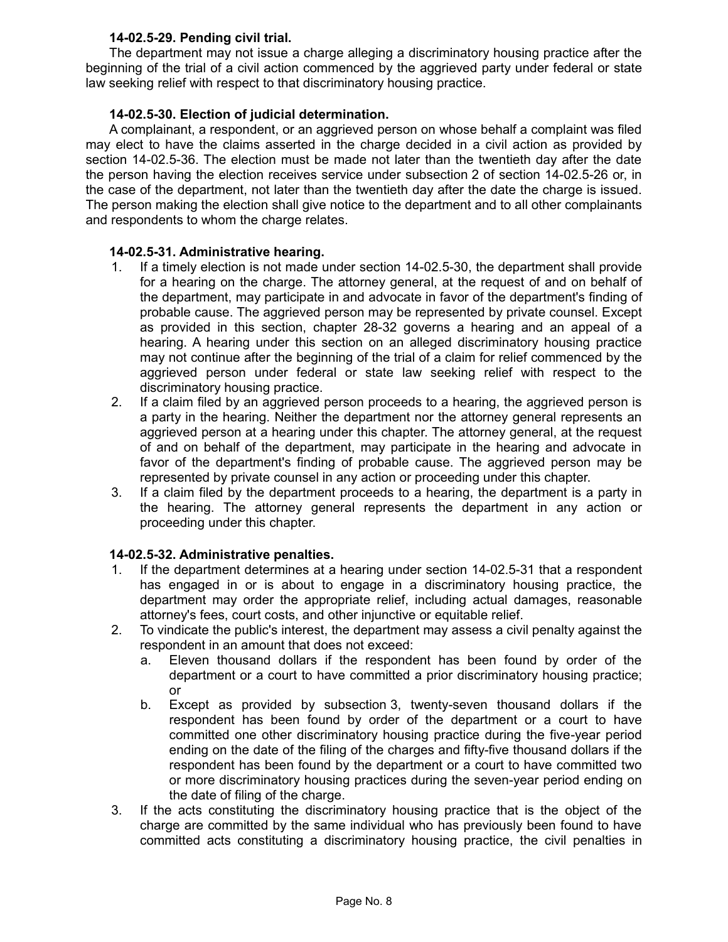# **14-02.5-29. Pending civil trial.**

The department may not issue a charge alleging a discriminatory housing practice after the beginning of the trial of a civil action commenced by the aggrieved party under federal or state law seeking relief with respect to that discriminatory housing practice.

# **14-02.5-30. Election of judicial determination.**

A complainant, a respondent, or an aggrieved person on whose behalf a complaint was filed may elect to have the claims asserted in the charge decided in a civil action as provided by section 14-02.5-36. The election must be made not later than the twentieth day after the date the person having the election receives service under subsection 2 of section 14-02.5-26 or, in the case of the department, not later than the twentieth day after the date the charge is issued. The person making the election shall give notice to the department and to all other complainants and respondents to whom the charge relates.

#### **14-02.5-31. Administrative hearing.**

- 1. If a timely election is not made under section 14-02.5-30, the department shall provide for a hearing on the charge. The attorney general, at the request of and on behalf of the department, may participate in and advocate in favor of the department's finding of probable cause. The aggrieved person may be represented by private counsel. Except as provided in this section, chapter 28-32 governs a hearing and an appeal of a hearing. A hearing under this section on an alleged discriminatory housing practice may not continue after the beginning of the trial of a claim for relief commenced by the aggrieved person under federal or state law seeking relief with respect to the discriminatory housing practice.
- 2. If a claim filed by an aggrieved person proceeds to a hearing, the aggrieved person is a party in the hearing. Neither the department nor the attorney general represents an aggrieved person at a hearing under this chapter. The attorney general, at the request of and on behalf of the department, may participate in the hearing and advocate in favor of the department's finding of probable cause. The aggrieved person may be represented by private counsel in any action or proceeding under this chapter.
- 3. If a claim filed by the department proceeds to a hearing, the department is a party in the hearing. The attorney general represents the department in any action or proceeding under this chapter.

# **14-02.5-32. Administrative penalties.**

- 1. If the department determines at a hearing under section 14-02.5-31 that a respondent has engaged in or is about to engage in a discriminatory housing practice, the department may order the appropriate relief, including actual damages, reasonable attorney's fees, court costs, and other injunctive or equitable relief.
- 2. To vindicate the public's interest, the department may assess a civil penalty against the respondent in an amount that does not exceed:
	- a. Eleven thousand dollars if the respondent has been found by order of the department or a court to have committed a prior discriminatory housing practice; or
	- b. Except as provided by subsection 3, twenty-seven thousand dollars if the respondent has been found by order of the department or a court to have committed one other discriminatory housing practice during the five-year period ending on the date of the filing of the charges and fifty-five thousand dollars if the respondent has been found by the department or a court to have committed two or more discriminatory housing practices during the seven-year period ending on the date of filing of the charge.
- 3. If the acts constituting the discriminatory housing practice that is the object of the charge are committed by the same individual who has previously been found to have committed acts constituting a discriminatory housing practice, the civil penalties in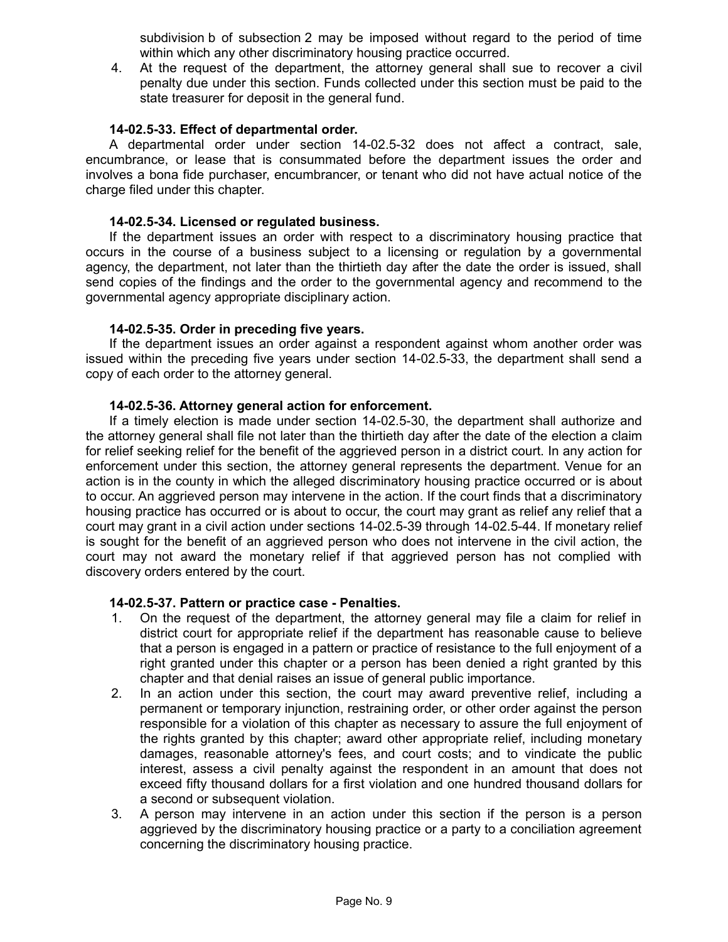subdivision b of subsection 2 may be imposed without regard to the period of time within which any other discriminatory housing practice occurred.

4. At the request of the department, the attorney general shall sue to recover a civil penalty due under this section. Funds collected under this section must be paid to the state treasurer for deposit in the general fund.

## **14-02.5-33. Effect of departmental order.**

A departmental order under section 14-02.5-32 does not affect a contract, sale, encumbrance, or lease that is consummated before the department issues the order and involves a bona fide purchaser, encumbrancer, or tenant who did not have actual notice of the charge filed under this chapter.

#### **14-02.5-34. Licensed or regulated business.**

If the department issues an order with respect to a discriminatory housing practice that occurs in the course of a business subject to a licensing or regulation by a governmental agency, the department, not later than the thirtieth day after the date the order is issued, shall send copies of the findings and the order to the governmental agency and recommend to the governmental agency appropriate disciplinary action.

## **14-02.5-35. Order in preceding five years.**

If the department issues an order against a respondent against whom another order was issued within the preceding five years under section 14-02.5-33, the department shall send a copy of each order to the attorney general.

#### **14-02.5-36. Attorney general action for enforcement.**

If a timely election is made under section 14-02.5-30, the department shall authorize and the attorney general shall file not later than the thirtieth day after the date of the election a claim for relief seeking relief for the benefit of the aggrieved person in a district court. In any action for enforcement under this section, the attorney general represents the department. Venue for an action is in the county in which the alleged discriminatory housing practice occurred or is about to occur. An aggrieved person may intervene in the action. If the court finds that a discriminatory housing practice has occurred or is about to occur, the court may grant as relief any relief that a court may grant in a civil action under sections 14-02.5-39 through 14-02.5-44. If monetary relief is sought for the benefit of an aggrieved person who does not intervene in the civil action, the court may not award the monetary relief if that aggrieved person has not complied with discovery orders entered by the court.

#### **14-02.5-37. Pattern or practice case - Penalties.**

- 1. On the request of the department, the attorney general may file a claim for relief in district court for appropriate relief if the department has reasonable cause to believe that a person is engaged in a pattern or practice of resistance to the full enjoyment of a right granted under this chapter or a person has been denied a right granted by this chapter and that denial raises an issue of general public importance.
- 2. In an action under this section, the court may award preventive relief, including a permanent or temporary injunction, restraining order, or other order against the person responsible for a violation of this chapter as necessary to assure the full enjoyment of the rights granted by this chapter; award other appropriate relief, including monetary damages, reasonable attorney's fees, and court costs; and to vindicate the public interest, assess a civil penalty against the respondent in an amount that does not exceed fifty thousand dollars for a first violation and one hundred thousand dollars for a second or subsequent violation.
- 3. A person may intervene in an action under this section if the person is a person aggrieved by the discriminatory housing practice or a party to a conciliation agreement concerning the discriminatory housing practice.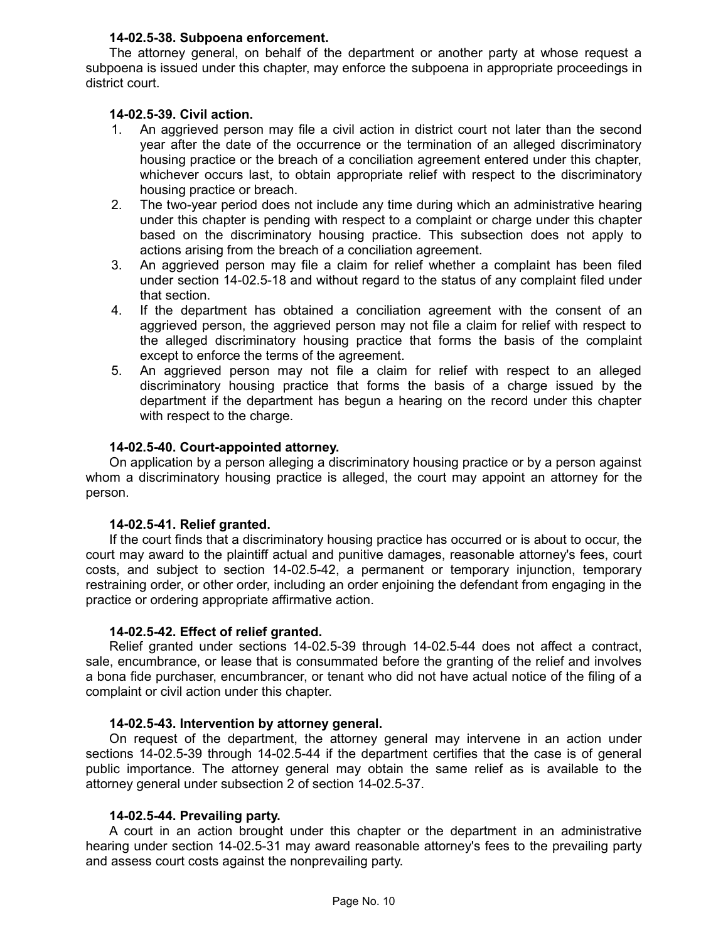## **14-02.5-38. Subpoena enforcement.**

The attorney general, on behalf of the department or another party at whose request a subpoena is issued under this chapter, may enforce the subpoena in appropriate proceedings in district court.

## **14-02.5-39. Civil action.**

- 1. An aggrieved person may file a civil action in district court not later than the second year after the date of the occurrence or the termination of an alleged discriminatory housing practice or the breach of a conciliation agreement entered under this chapter, whichever occurs last, to obtain appropriate relief with respect to the discriminatory housing practice or breach.
- 2. The two-year period does not include any time during which an administrative hearing under this chapter is pending with respect to a complaint or charge under this chapter based on the discriminatory housing practice. This subsection does not apply to actions arising from the breach of a conciliation agreement.
- 3. An aggrieved person may file a claim for relief whether a complaint has been filed under section 14-02.5-18 and without regard to the status of any complaint filed under that section.
- 4. If the department has obtained a conciliation agreement with the consent of an aggrieved person, the aggrieved person may not file a claim for relief with respect to the alleged discriminatory housing practice that forms the basis of the complaint except to enforce the terms of the agreement.
- 5. An aggrieved person may not file a claim for relief with respect to an alleged discriminatory housing practice that forms the basis of a charge issued by the department if the department has begun a hearing on the record under this chapter with respect to the charge.

## **14-02.5-40. Court-appointed attorney.**

On application by a person alleging a discriminatory housing practice or by a person against whom a discriminatory housing practice is alleged, the court may appoint an attorney for the person.

## **14-02.5-41. Relief granted.**

If the court finds that a discriminatory housing practice has occurred or is about to occur, the court may award to the plaintiff actual and punitive damages, reasonable attorney's fees, court costs, and subject to section 14-02.5-42, a permanent or temporary injunction, temporary restraining order, or other order, including an order enjoining the defendant from engaging in the practice or ordering appropriate affirmative action.

#### **14-02.5-42. Effect of relief granted.**

Relief granted under sections 14-02.5-39 through 14-02.5-44 does not affect a contract, sale, encumbrance, or lease that is consummated before the granting of the relief and involves a bona fide purchaser, encumbrancer, or tenant who did not have actual notice of the filing of a complaint or civil action under this chapter.

#### **14-02.5-43. Intervention by attorney general.**

On request of the department, the attorney general may intervene in an action under sections 14-02.5-39 through 14-02.5-44 if the department certifies that the case is of general public importance. The attorney general may obtain the same relief as is available to the attorney general under subsection 2 of section 14-02.5-37.

#### **14-02.5-44. Prevailing party.**

A court in an action brought under this chapter or the department in an administrative hearing under section 14-02.5-31 may award reasonable attorney's fees to the prevailing party and assess court costs against the nonprevailing party.